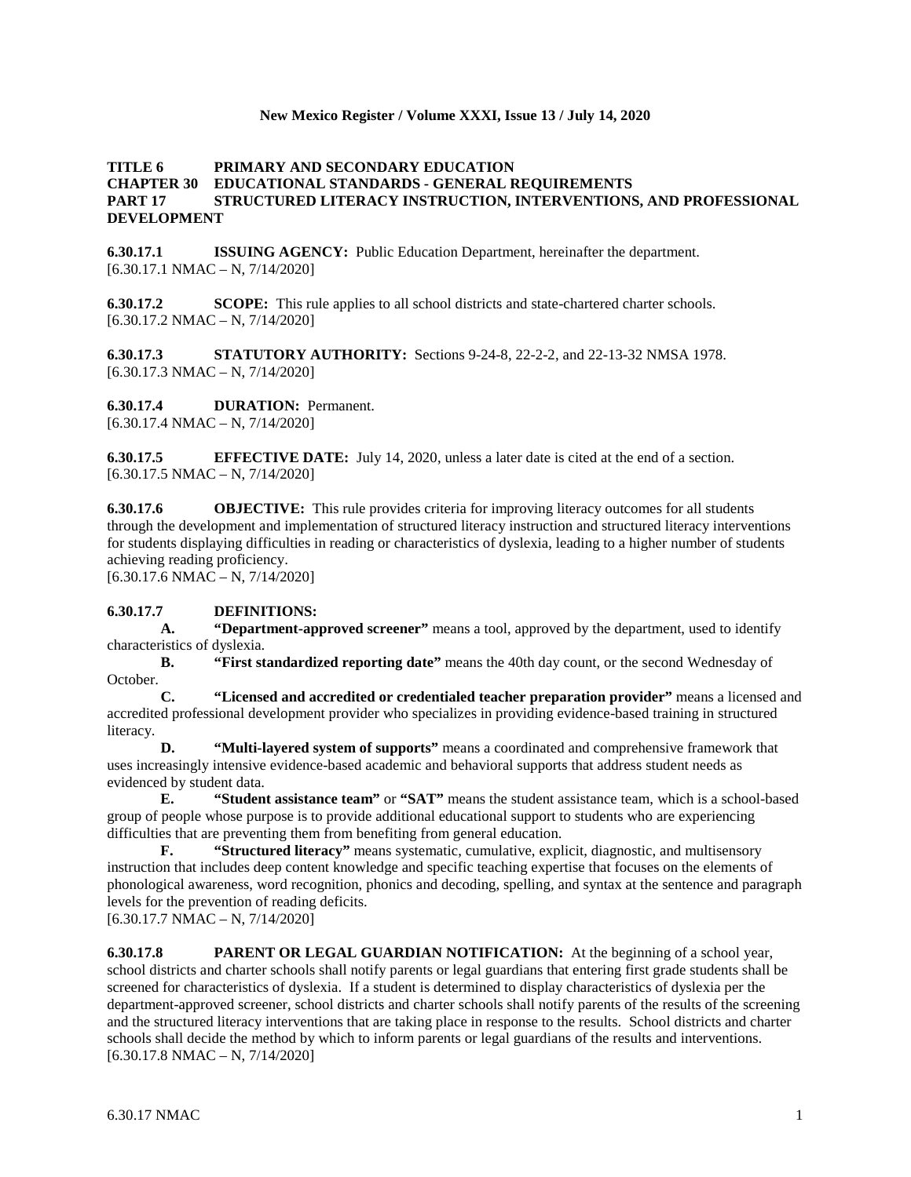## **New Mexico Register / Volume XXXI, Issue 13 / July 14, 2020**

# **TITLE 6 PRIMARY AND SECONDARY EDUCATION CHAPTER 30 EDUCATIONAL STANDARDS - GENERAL REQUIREMENTS PART 17 STRUCTURED LITERACY INSTRUCTION, INTERVENTIONS, AND PROFESSIONAL DEVELOPMENT**

**6.30.17.1 ISSUING AGENCY:** Public Education Department, hereinafter the department.  $[6.30.17.1 \text{ NMAC} - \text{N}, 7/14/2020]$ 

**6.30.17.2 SCOPE:** This rule applies to all school districts and state-chartered charter schools. [6.30.17.2 NMAC – N, 7/14/2020]

**6.30.17.3 STATUTORY AUTHORITY:** Sections 9-24-8, 22-2-2, and 22-13-32 NMSA 1978.  $[6.30.17.3 \text{ NMAC} - \text{N}, 7/14/2020]$ 

**6.30.17.4 DURATION:** Permanent.

 $[6.30.17.4 \text{ NMAC} - \text{N}, 7/14/2020]$ 

**6.30.17.5 EFFECTIVE DATE:** July 14, 2020, unless a later date is cited at the end of a section.  $[6.30.17.5 \text{ NMAC} - \text{N}, 7/14/2020]$ 

**6.30.17.6 OBJECTIVE:** This rule provides criteria for improving literacy outcomes for all students through the development and implementation of structured literacy instruction and structured literacy interventions for students displaying difficulties in reading or characteristics of dyslexia, leading to a higher number of students achieving reading proficiency.

 $[6.30.17.6 \text{ NMAC} - \text{N}, 7/14/2020]$ 

# **6.30.17.7 DEFINITIONS:**

**A. "Department-approved screener"** means a tool, approved by the department, used to identify characteristics of dyslexia.

**B. "First standardized reporting date"** means the 40th day count, or the second Wednesday of October.<br>C.

**C. "Licensed and accredited or credentialed teacher preparation provider"** means a licensed and accredited professional development provider who specializes in providing evidence-based training in structured literacy.

**D. "Multi-layered system of supports"** means a coordinated and comprehensive framework that uses increasingly intensive evidence-based academic and behavioral supports that address student needs as evidenced by student data.

**E. "Student assistance team"** or **"SAT"** means the student assistance team, which is a school-based group of people whose purpose is to provide additional educational support to students who are experiencing difficulties that are preventing them from benefiting from general education.

**F. "Structured literacy"** means systematic, cumulative, explicit, diagnostic, and multisensory instruction that includes deep content knowledge and specific teaching expertise that focuses on the elements of phonological awareness, word recognition, phonics and decoding, spelling, and syntax at the sentence and paragraph levels for the prevention of reading deficits.

[6.30.17.7 NMAC – N, 7/14/2020]

**6.30.17.8 PARENT OR LEGAL GUARDIAN NOTIFICATION:** At the beginning of a school year, school districts and charter schools shall notify parents or legal guardians that entering first grade students shall be screened for characteristics of dyslexia. If a student is determined to display characteristics of dyslexia per the department-approved screener, school districts and charter schools shall notify parents of the results of the screening and the structured literacy interventions that are taking place in response to the results. School districts and charter schools shall decide the method by which to inform parents or legal guardians of the results and interventions.  $[6.30.17.8 \text{ NMAC} - \text{N}, 7/14/2020]$